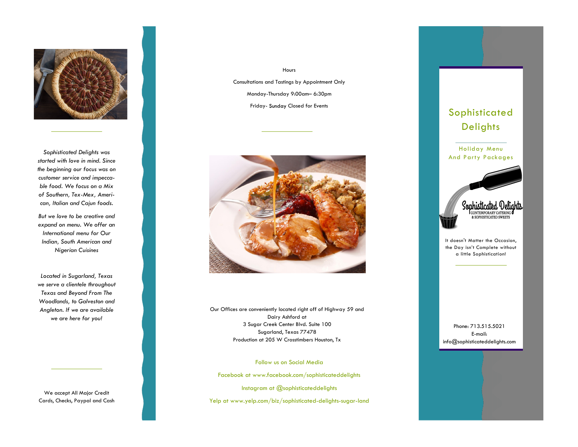

*Sophisticated Delights was started with love in mind. Since the beginning our focus was on customer service and impeccable food. We focus on a Mix of Southern, Tex-Mex, American, Italian and Cajun foods.* 

*But we love to be creative and expand on menu. We offer an International menu for Our Indian, South American and Nigerian Cuisines* 

*Located in Sugarland, Texas we serve a clientele throughout Texas and Beyond From The Woodlands, to Galveston and Angleton. If we are available we are here for you!*

We accept All Major Credit Cards, Checks, Paypal and Cash

Hours Consultations and Tastings by Appointment Only Monday-Thursday 9:00am– 6:30pm Friday- Closed for Events



Our Offices are conveniently located right off of Highway 59 and Dairy Ashford at 3 Sugar Creek Center Blvd. Suite 100 Sugarland, Texas 77478 Production at 205 W Crosstimbers Houston, Tx

Follow us on Social Media

Facebook at www.facebook.com/sophisticateddelights

Instagram at @sophisticateddelights

Yelp at www.yelp.com/biz/sophisticated-delights-sugar-land





It doesn't Matter the Occasion, the Day isn't Complete without a little Sophistication!

Phone: 713.515.5021 E-mail: info@sophisticateddelights.com